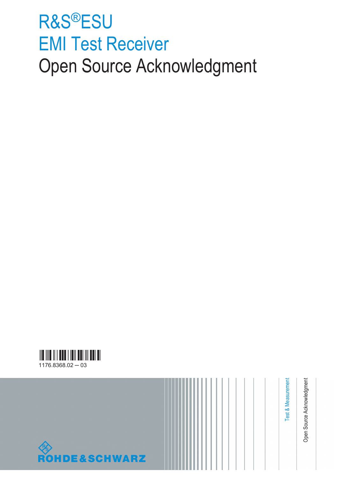# R&S®ESU EMI Test Receiver Open Source Acknowledgment





Open Source Acknowledgment Open Source Acknowledgment

Test & Measurement

Test & Measurement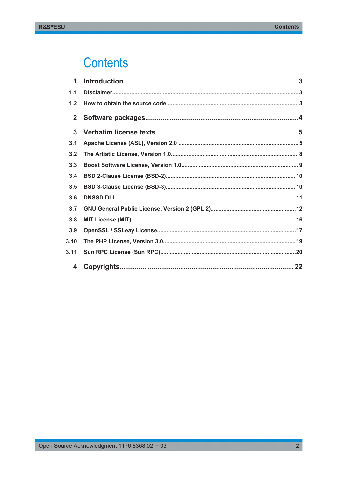## **Contents**

| 1              |  |
|----------------|--|
| 1.1            |  |
| 1.2            |  |
| $\overline{2}$ |  |
| $\mathbf{3}$   |  |
| 3.1            |  |
| 3.2            |  |
| 3.3            |  |
| 3.4            |  |
| 3.5            |  |
| 3.6            |  |
| 3.7            |  |
| 3.8            |  |
| 3.9            |  |
| 3.10           |  |
| 3.11           |  |
| 4              |  |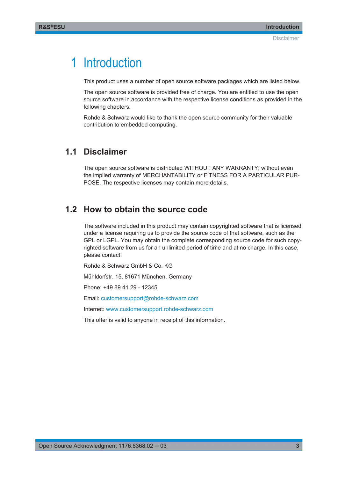## <span id="page-2-0"></span>1 Introduction

This product uses a number of open source software packages which are listed below.

The open source software is provided free of charge. You are entitled to use the open source software in accordance with the respective license conditions as provided in the following chapters.

Rohde & Schwarz would like to thank the open source community for their valuable contribution to embedded computing.

## **1.1 Disclaimer**

The open source software is distributed WITHOUT ANY WARRANTY; without even the implied warranty of MERCHANTABILITY or FITNESS FOR A PARTICULAR PUR-POSE. The respective licenses may contain more details.

## **1.2 How to obtain the source code**

The software included in this product may contain copyrighted software that is licensed under a license requiring us to provide the source code of that software, such as the GPL or LGPL. You may obtain the complete corresponding source code for such copyrighted software from us for an unlimited period of time and at no charge. In this case, please contact:

Rohde & Schwarz GmbH & Co. KG

Mühldorfstr. 15, 81671 München, Germany

Phone: +49 89 41 29 - 12345

Email: [customersupport@rohde-schwarz.com](mailto:customersupport@rohde-schwarz.com)

Internet: [www.customersupport.rohde-schwarz.com](http://www.customersupport.rohde-schwarz.com)

This offer is valid to anyone in receipt of this information.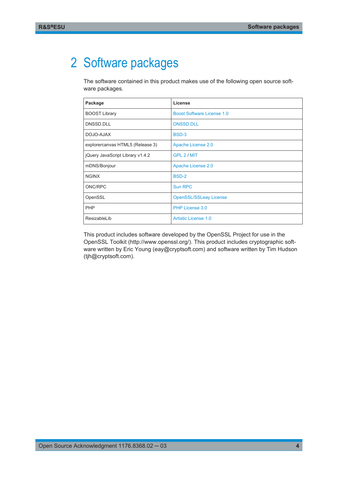## <span id="page-3-0"></span>2 Software packages

The software contained in this product makes use of the following open source software packages.

| Package                          | License                           |
|----------------------------------|-----------------------------------|
| <b>BOOST Library</b>             | <b>Boost Software License 1.0</b> |
| DNSSD.DLL                        | <b>DNSSD.DLL</b>                  |
| DOJO-AJAX                        | BSD-3                             |
| explorercanvas HTML5 (Release 3) | Apache License 2.0                |
| jQuery JavaScript Library v1.4.2 | GPL 2 / MIT                       |
| mDNS/Bonjour                     | Apache License 2.0                |
| <b>NGINX</b>                     | BSD-2                             |
| ONC/RPC                          | <b>Sun RPC</b>                    |
| OpenSSL                          | <b>OpenSSL/SSLeay License</b>     |
| PHP                              | PHP License 3.0                   |
| ResizableLib                     | Artistic License 1.0              |

This product includes software developed by the OpenSSL Project for use in the OpenSSL Toolkit (http://www.openssl.org/). This product includes cryptographic software written by Eric Young (eay@cryptsoft.com) and software written by Tim Hudson (tjh@cryptsoft.com).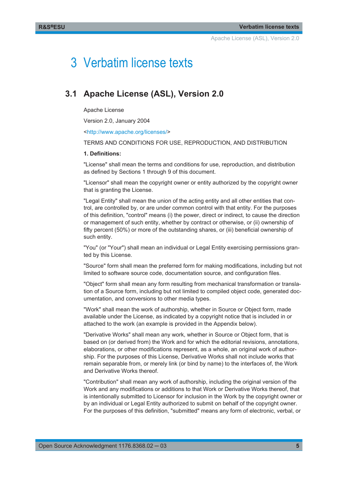Apache License (ASL), Version 2.0

## <span id="page-4-0"></span>3 Verbatim license texts

## **3.1 Apache License (ASL), Version 2.0**

Apache License

Version 2.0, January 2004

[<http://www.apache.org/licenses/](http://www.apache.org/licenses/)>

TERMS AND CONDITIONS FOR USE, REPRODUCTION, AND DISTRIBUTION

#### **1. Definitions:**

"License" shall mean the terms and conditions for use, reproduction, and distribution as defined by Sections 1 through 9 of this document.

"Licensor" shall mean the copyright owner or entity authorized by the copyright owner that is granting the License.

"Legal Entity" shall mean the union of the acting entity and all other entities that control, are controlled by, or are under common control with that entity. For the purposes of this definition, "control" means (i) the power, direct or indirect, to cause the direction or management of such entity, whether by contract or otherwise, or (ii) ownership of fifty percent (50%) or more of the outstanding shares, or (iii) beneficial ownership of such entity.

"You" (or "Your") shall mean an individual or Legal Entity exercising permissions granted by this License.

"Source" form shall mean the preferred form for making modifications, including but not limited to software source code, documentation source, and configuration files.

"Object" form shall mean any form resulting from mechanical transformation or translation of a Source form, including but not limited to compiled object code, generated documentation, and conversions to other media types.

"Work" shall mean the work of authorship, whether in Source or Object form, made available under the License, as indicated by a copyright notice that is included in or attached to the work (an example is provided in the Appendix below).

"Derivative Works" shall mean any work, whether in Source or Object form, that is based on (or derived from) the Work and for which the editorial revisions, annotations, elaborations, or other modifications represent, as a whole, an original work of authorship. For the purposes of this License, Derivative Works shall not include works that remain separable from, or merely link (or bind by name) to the interfaces of, the Work and Derivative Works thereof.

"Contribution" shall mean any work of authorship, including the original version of the Work and any modifications or additions to that Work or Derivative Works thereof, that is intentionally submitted to Licensor for inclusion in the Work by the copyright owner or by an individual or Legal Entity authorized to submit on behalf of the copyright owner. For the purposes of this definition, "submitted" means any form of electronic, verbal, or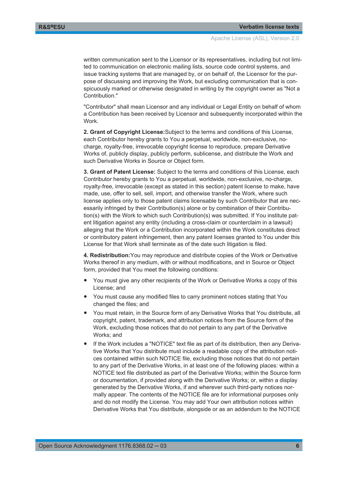written communication sent to the Licensor or its representatives, including but not limited to communication on electronic mailing lists, source code control systems, and issue tracking systems that are managed by, or on behalf of, the Licensor for the purpose of discussing and improving the Work, but excluding communication that is conspicuously marked or otherwise designated in writing by the copyright owner as "Not a Contribution."

"Contributor" shall mean Licensor and any individual or Legal Entity on behalf of whom a Contribution has been received by Licensor and subsequently incorporated within the **Work** 

**2. Grant of Copyright License:**Subject to the terms and conditions of this License, each Contributor hereby grants to You a perpetual, worldwide, non-exclusive, nocharge, royalty-free, irrevocable copyright license to reproduce, prepare Derivative Works of, publicly display, publicly perform, sublicense, and distribute the Work and such Derivative Works in Source or Object form.

**3. Grant of Patent License:** Subject to the terms and conditions of this License, each Contributor hereby grants to You a perpetual, worldwide, non-exclusive, no-charge, royalty-free, irrevocable (except as stated in this section) patent license to make, have made, use, offer to sell, sell, import, and otherwise transfer the Work, where such license applies only to those patent claims licensable by such Contributor that are necessarily infringed by their Contribution(s) alone or by combination of their Contribution(s) with the Work to which such Contribution(s) was submitted. If You institute patent litigation against any entity (including a cross-claim or counterclaim in a lawsuit) alleging that the Work or a Contribution incorporated within the Work constitutes direct or contributory patent infringement, then any patent licenses granted to You under this License for that Work shall terminate as of the date such litigation is filed.

**4. Redistribution:**You may reproduce and distribute copies of the Work or Derivative Works thereof in any medium, with or without modifications, and in Source or Object form, provided that You meet the following conditions:

- You must give any other recipients of the Work or Derivative Works a copy of this License; and
- You must cause any modified files to carry prominent notices stating that You changed the files; and
- You must retain, in the Source form of any Derivative Works that You distribute, all copyright, patent, trademark, and attribution notices from the Source form of the Work, excluding those notices that do not pertain to any part of the Derivative Works; and
- If the Work includes a "NOTICE" text file as part of its distribution, then any Derivative Works that You distribute must include a readable copy of the attribution notices contained within such NOTICE file, excluding those notices that do not pertain to any part of the Derivative Works, in at least one of the following places: within a NOTICE text file distributed as part of the Derivative Works; within the Source form or documentation, if provided along with the Derivative Works; or, within a display generated by the Derivative Works, if and wherever such third-party notices normally appear. The contents of the NOTICE file are for informational purposes only and do not modify the License. You may add Your own attribution notices within Derivative Works that You distribute, alongside or as an addendum to the NOTICE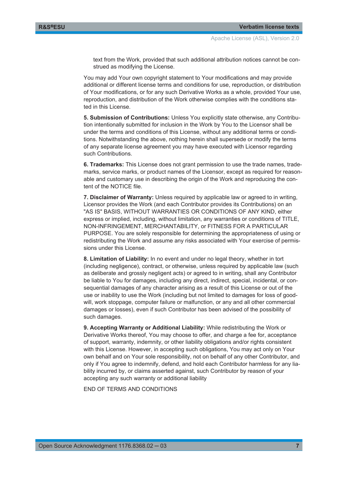text from the Work, provided that such additional attribution notices cannot be construed as modifying the License.

You may add Your own copyright statement to Your modifications and may provide additional or different license terms and conditions for use, reproduction, or distribution of Your modifications, or for any such Derivative Works as a whole, provided Your use, reproduction, and distribution of the Work otherwise complies with the conditions stated in this License.

**5. Submission of Contributions:** Unless You explicitly state otherwise, any Contribution intentionally submitted for inclusion in the Work by You to the Licensor shall be under the terms and conditions of this License, without any additional terms or conditions. Notwithstanding the above, nothing herein shall supersede or modify the terms of any separate license agreement you may have executed with Licensor regarding such Contributions.

**6. Trademarks:** This License does not grant permission to use the trade names, trademarks, service marks, or product names of the Licensor, except as required for reasonable and customary use in describing the origin of the Work and reproducing the content of the NOTICE file.

**7. Disclaimer of Warranty:** Unless required by applicable law or agreed to in writing, Licensor provides the Work (and each Contributor provides its Contributions) on an "AS IS" BASIS, WITHOUT WARRANTIES OR CONDITIONS OF ANY KIND, either express or implied, including, without limitation, any warranties or conditions of TITLE, NON-INFRINGEMENT, MERCHANTABILITY, or FITNESS FOR A PARTICULAR PURPOSE. You are solely responsible for determining the appropriateness of using or redistributing the Work and assume any risks associated with Your exercise of permissions under this License.

**8. Limitation of Liability:** In no event and under no legal theory, whether in tort (including negligence), contract, or otherwise, unless required by applicable law (such as deliberate and grossly negligent acts) or agreed to in writing, shall any Contributor be liable to You for damages, including any direct, indirect, special, incidental, or consequential damages of any character arising as a result of this License or out of the use or inability to use the Work (including but not limited to damages for loss of goodwill, work stoppage, computer failure or malfunction, or any and all other commercial damages or losses), even if such Contributor has been advised of the possibility of such damages.

**9. Accepting Warranty or Additional Liability:** While redistributing the Work or Derivative Works thereof, You may choose to offer, and charge a fee for, acceptance of support, warranty, indemnity, or other liability obligations and/or rights consistent with this License. However, in accepting such obligations, You may act only on Your own behalf and on Your sole responsibility, not on behalf of any other Contributor, and only if You agree to indemnify, defend, and hold each Contributor harmless for any liability incurred by, or claims asserted against, such Contributor by reason of your accepting any such warranty or additional liability

END OF TERMS AND CONDITIONS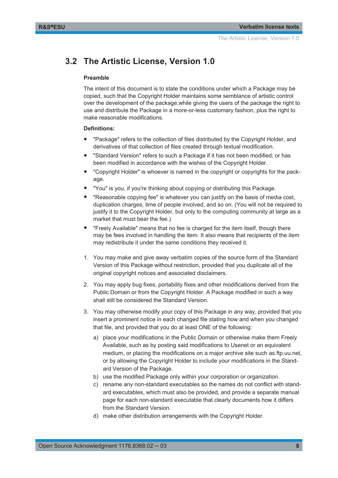## <span id="page-7-0"></span>**3.2 The Artistic License, Version 1.0**

#### **Preamble**

The intent of this document is to state the conditions under which a Package may be copied, such that the Copyright Holder maintains some semblance of artistic control over the development of the package,while giving the users of the package the right to use and distribute the Package in a more-or-less customary fashion, plus the right to make reasonable modifications.

#### **Definitions:**

- "Package" refers to the collection of files distributed by the Copyright Holder, and derivatives of that collection of files created through textual modification.
- "Standard Version" refers to such a Package if it has not been modified, or has been modified in accordance with the wishes of the Copyright Holder.
- "Copyright Holder" is whoever is named in the copyright or copyrights for the package.
- "You" is you, if you're thinking about copying or distributing this Package.
- "Reasonable copying fee" is whatever you can justify on the basis of media cost, duplication charges, time of people involved, and so on. (You will not be required to justify it to the Copyright Holder, but only to the computing community at large as a market that must bear the fee.)
- "Freely Available" means that no fee is charged for the item itself, though there may be fees involved in handling the item. It also means that recipients of the item may redistribute it under the same conditions they received it.
- 1. You may make and give away verbatim copies of the source form of the Standard Version of this Package without restriction, provided that you duplicate all of the original copyright notices and associated disclaimers.
- 2. You may apply bug fixes, portability fixes and other modifications derived from the Public Domain or from the Copyright Holder. A Package modified in such a way shall still be considered the Standard Version.
- 3. You may otherwise modify your copy of this Package in any way, provided that you insert a prominent notice in each changed file stating how and when you changed that file, and provided that you do at least ONE of the following:
	- a) place your modifications in the Public Domain or otherwise make them Freely Available, such as by posting said modifications to Usenet or an equivalent medium, or placing the modifications on a major archive site such as ftp.uu.net, or by allowing the Copyright Holder to include your modifications in the Standard Version of the Package.
	- b) use the modified Package only within your corporation or organization.
	- c) rename any non-standard executables so the names do not conflict with standard executables, which must also be provided, and provide a separate manual page for each non-standard executable that clearly documents how it differs from the Standard Version.
	- d) make other distribution arrangements with the Copyright Holder.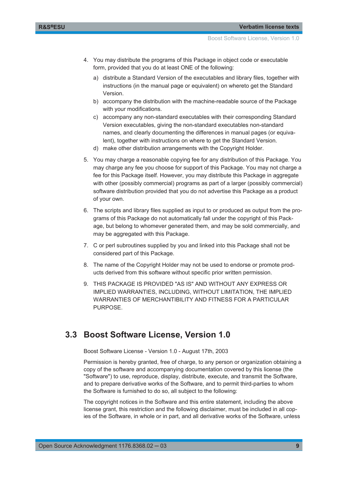- <span id="page-8-0"></span>4. You may distribute the programs of this Package in object code or executable form, provided that you do at least ONE of the following:
	- a) distribute a Standard Version of the executables and library files, together with instructions (in the manual page or equivalent) on whereto get the Standard Version.
	- b) accompany the distribution with the machine-readable source of the Package with your modifications.
	- c) accompany any non-standard executables with their corresponding Standard Version executables, giving the non-standard executables non-standard names, and clearly documenting the differences in manual pages (or equivalent), together with instructions on where to get the Standard Version.
	- d) make other distribution arrangements with the Copyright Holder.
- 5. You may charge a reasonable copying fee for any distribution of this Package. You may charge any fee you choose for support of this Package. You may not charge a fee for this Package itself. However, you may distribute this Package in aggregate with other (possibly commercial) programs as part of a larger (possibly commercial) software distribution provided that you do not advertise this Package as a product of your own.
- 6. The scripts and library files supplied as input to or produced as output from the programs of this Package do not automatically fall under the copyright of this Package, but belong to whomever generated them, and may be sold commercially, and may be aggregated with this Package.
- 7. C or perl subroutines supplied by you and linked into this Package shall not be considered part of this Package.
- 8. The name of the Copyright Holder may not be used to endorse or promote products derived from this software without specific prior written permission.
- 9. THIS PACKAGE IS PROVIDED "AS IS" AND WITHOUT ANY EXPRESS OR IMPLIED WARRANTIES, INCLUDING, WITHOUT LIMITATION, THE IMPLIED WARRANTIES OF MERCHANTIBILITY AND FITNESS FOR A PARTICULAR PURPOSE.

## **3.3 Boost Software License, Version 1.0**

Boost Software License - Version 1.0 - August 17th, 2003

Permission is hereby granted, free of charge, to any person or organization obtaining a copy of the software and accompanying documentation covered by this license (the "Software") to use, reproduce, display, distribute, execute, and transmit the Software, and to prepare derivative works of the Software, and to permit third-parties to whom the Software is furnished to do so, all subject to the following:

The copyright notices in the Software and this entire statement, including the above license grant, this restriction and the following disclaimer, must be included in all copies of the Software, in whole or in part, and all derivative works of the Software, unless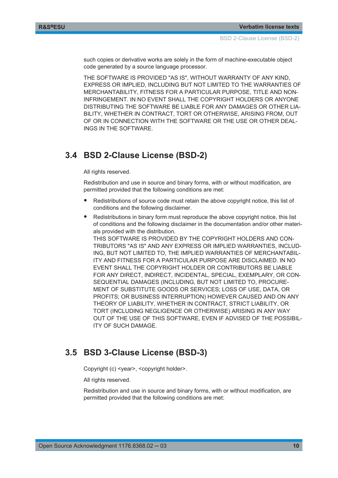<span id="page-9-0"></span>such copies or derivative works are solely in the form of machine-executable object code generated by a source language processor.

THE SOFTWARE IS PROVIDED "AS IS", WITHOUT WARRANTY OF ANY KIND, EXPRESS OR IMPLIED, INCLUDING BUT NOT LIMITED TO THE WARRANTIES OF MERCHANTABILITY, FITNESS FOR A PARTICULAR PURPOSE, TITLE AND NON-INFRINGEMENT. IN NO EVENT SHALL THE COPYRIGHT HOLDERS OR ANYONE DISTRIBUTING THE SOFTWARE BE LIABLE FOR ANY DAMAGES OR OTHER LIA-BILITY, WHETHER IN CONTRACT, TORT OR OTHERWISE, ARISING FROM, OUT OF OR IN CONNECTION WITH THE SOFTWARE OR THE USE OR OTHER DEAL-INGS IN THE SOFTWARE.

## **3.4 BSD 2-Clause License (BSD-2)**

All rights reserved.

Redistribution and use in source and binary forms, with or without modification, are permitted provided that the following conditions are met:

- Redistributions of source code must retain the above copyright notice, this list of conditions and the following disclaimer.
- Redistributions in binary form must reproduce the above copyright notice, this list of conditions and the following disclaimer in the documentation and/or other materials provided with the distribution. THIS SOFTWARE IS PROVIDED BY THE COPYRIGHT HOLDERS AND CON-TRIBUTORS "AS IS" AND ANY EXPRESS OR IMPLIED WARRANTIES, INCLUD-ING, BUT NOT LIMITED TO, THE IMPLIED WARRANTIES OF MERCHANTABIL-ITY AND FITNESS FOR A PARTICULAR PURPOSE ARE DISCLAIMED. IN NO EVENT SHALL THE COPYRIGHT HOLDER OR CONTRIBUTORS BE LIABLE FOR ANY DIRECT, INDIRECT, INCIDENTAL, SPECIAL, EXEMPLARY, OR CON-SEQUENTIAL DAMAGES (INCLUDING, BUT NOT LIMITED TO, PROCURE-MENT OF SUBSTITUTE GOODS OR SERVICES; LOSS OF USE, DATA, OR PROFITS; OR BUSINESS INTERRUPTION) HOWEVER CAUSED AND ON ANY THEORY OF LIABILITY, WHETHER IN CONTRACT, STRICT LIABILITY, OR

TORT (INCLUDING NEGLIGENCE OR OTHERWISE) ARISING IN ANY WAY OUT OF THE USE OF THIS SOFTWARE, EVEN IF ADVISED OF THE POSSIBIL-ITY OF SUCH DAMAGE.

## **3.5 BSD 3-Clause License (BSD-3)**

Copyright (c) <year>, <copyright holder>.

All rights reserved.

Redistribution and use in source and binary forms, with or without modification, are permitted provided that the following conditions are met: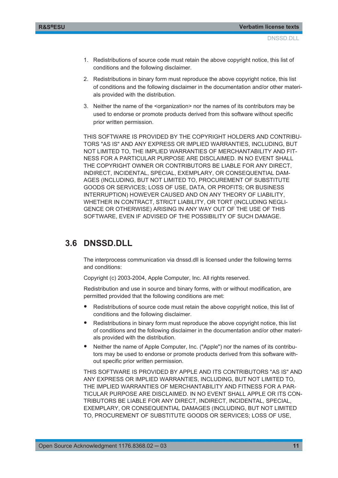- <span id="page-10-0"></span>1. Redistributions of source code must retain the above copyright notice, this list of conditions and the following disclaimer.
- 2. Redistributions in binary form must reproduce the above copyright notice, this list of conditions and the following disclaimer in the documentation and/or other materials provided with the distribution.
- 3. Neither the name of the <organization> nor the names of its contributors may be used to endorse or promote products derived from this software without specific prior written permission.

THIS SOFTWARE IS PROVIDED BY THE COPYRIGHT HOLDERS AND CONTRIBU-TORS "AS IS" AND ANY EXPRESS OR IMPLIED WARRANTIES, INCLUDING, BUT NOT LIMITED TO, THE IMPLIED WARRANTIES OF MERCHANTABILITY AND FIT-NESS FOR A PARTICULAR PURPOSE ARE DISCLAIMED. IN NO EVENT SHALL THE COPYRIGHT OWNER OR CONTRIBUTORS BE LIABLE FOR ANY DIRECT, INDIRECT, INCIDENTAL, SPECIAL, EXEMPLARY, OR CONSEQUENTIAL DAM-AGES (INCLUDING, BUT NOT LIMITED TO, PROCUREMENT OF SUBSTITUTE GOODS OR SERVICES; LOSS OF USE, DATA, OR PROFITS; OR BUSINESS INTERRUPTION) HOWEVER CAUSED AND ON ANY THEORY OF LIABILITY, WHETHER IN CONTRACT, STRICT LIABILITY, OR TORT (INCLUDING NEGLI-GENCE OR OTHERWISE) ARISING IN ANY WAY OUT OF THE USE OF THIS SOFTWARE, EVEN IF ADVISED OF THE POSSIBILITY OF SUCH DAMAGE.

## **3.6 DNSSD.DLL**

The interprocess communication via dnssd.dll is licensed under the following terms and conditions:

Copyright (c) 2003-2004, Apple Computer, Inc. All rights reserved.

Redistribution and use in source and binary forms, with or without modification, are permitted provided that the following conditions are met:

- Redistributions of source code must retain the above copyright notice, this list of conditions and the following disclaimer.
- Redistributions in binary form must reproduce the above copyright notice, this list of conditions and the following disclaimer in the documentation and/or other materials provided with the distribution.
- Neither the name of Apple Computer, Inc. ("Apple") nor the names of its contributors may be used to endorse or promote products derived from this software without specific prior written permission.

THIS SOFTWARE IS PROVIDED BY APPLE AND ITS CONTRIBUTORS "AS IS" AND ANY EXPRESS OR IMPLIED WARRANTIES, INCLUDING, BUT NOT LIMITED TO, THE IMPLIED WARRANTIES OF MERCHANTABILITY AND FITNESS FOR A PAR-TICULAR PURPOSE ARE DISCLAIMED. IN NO EVENT SHALL APPLE OR ITS CON-TRIBUTORS BE LIABLE FOR ANY DIRECT, INDIRECT, INCIDENTAL, SPECIAL, EXEMPLARY, OR CONSEQUENTIAL DAMAGES (INCLUDING, BUT NOT LIMITED TO, PROCUREMENT OF SUBSTITUTE GOODS OR SERVICES; LOSS OF USE,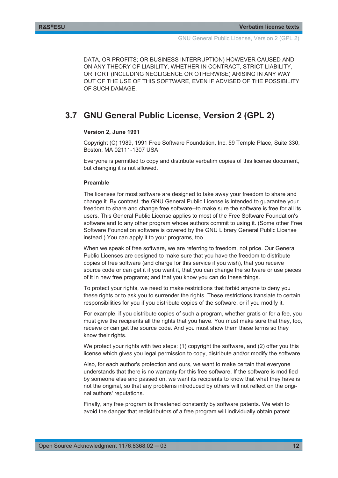<span id="page-11-0"></span>DATA, OR PROFITS; OR BUSINESS INTERRUPTION) HOWEVER CAUSED AND ON ANY THEORY OF LIABILITY, WHETHER IN CONTRACT, STRICT LIABILITY, OR TORT (INCLUDING NEGLIGENCE OR OTHERWISE) ARISING IN ANY WAY OUT OF THE USE OF THIS SOFTWARE, EVEN IF ADVISED OF THE POSSIBILITY OF SUCH DAMAGE.

## **3.7 GNU General Public License, Version 2 (GPL 2)**

#### **Version 2, June 1991**

Copyright (C) 1989, 1991 Free Software Foundation, Inc. 59 Temple Place, Suite 330, Boston, MA 02111-1307 USA

Everyone is permitted to copy and distribute verbatim copies of this license document, but changing it is not allowed.

#### **Preamble**

The licenses for most software are designed to take away your freedom to share and change it. By contrast, the GNU General Public License is intended to guarantee your freedom to share and change free software--to make sure the software is free for all its users. This General Public License applies to most of the Free Software Foundation's software and to any other program whose authors commit to using it. (Some other Free Software Foundation software is covered by the GNU Library General Public License instead.) You can apply it to your programs, too.

When we speak of free software, we are referring to freedom, not price. Our General Public Licenses are designed to make sure that you have the freedom to distribute copies of free software (and charge for this service if you wish), that you receive source code or can get it if you want it, that you can change the software or use pieces of it in new free programs; and that you know you can do these things.

To protect your rights, we need to make restrictions that forbid anyone to deny you these rights or to ask you to surrender the rights. These restrictions translate to certain responsibilities for you if you distribute copies of the software, or if you modify it.

For example, if you distribute copies of such a program, whether gratis or for a fee, you must give the recipients all the rights that you have. You must make sure that they, too, receive or can get the source code. And you must show them these terms so they know their rights.

We protect your rights with two steps: (1) copyright the software, and (2) offer you this license which gives you legal permission to copy, distribute and/or modify the software.

Also, for each author's protection and ours, we want to make certain that everyone understands that there is no warranty for this free software. If the software is modified by someone else and passed on, we want its recipients to know that what they have is not the original, so that any problems introduced by others will not reflect on the original authors' reputations.

Finally, any free program is threatened constantly by software patents. We wish to avoid the danger that redistributors of a free program will individually obtain patent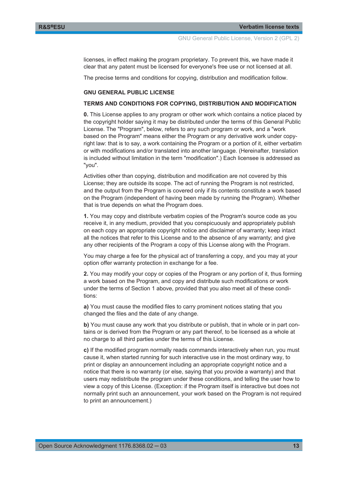licenses, in effect making the program proprietary. To prevent this, we have made it clear that any patent must be licensed for everyone's free use or not licensed at all.

The precise terms and conditions for copying, distribution and modification follow.

#### **GNU GENERAL PUBLIC LICENSE**

#### **TERMS AND CONDITIONS FOR COPYING, DISTRIBUTION AND MODIFICATION**

**0.** This License applies to any program or other work which contains a notice placed by the copyright holder saying it may be distributed under the terms of this General Public License. The "Program", below, refers to any such program or work, and a "work based on the Program" means either the Program or any derivative work under copyright law: that is to say, a work containing the Program or a portion of it, either verbatim or with modifications and/or translated into another language. (Hereinafter, translation is included without limitation in the term "modification".) Each licensee is addressed as "you".

Activities other than copying, distribution and modification are not covered by this License; they are outside its scope. The act of running the Program is not restricted, and the output from the Program is covered only if its contents constitute a work based on the Program (independent of having been made by running the Program). Whether that is true depends on what the Program does.

**1.** You may copy and distribute verbatim copies of the Program's source code as you receive it, in any medium, provided that you conspicuously and appropriately publish on each copy an appropriate copyright notice and disclaimer of warranty; keep intact all the notices that refer to this License and to the absence of any warranty; and give any other recipients of the Program a copy of this License along with the Program.

You may charge a fee for the physical act of transferring a copy, and you may at your option offer warranty protection in exchange for a fee.

**2.** You may modify your copy or copies of the Program or any portion of it, thus forming a work based on the Program, and copy and distribute such modifications or work under the terms of Section 1 above, provided that you also meet all of these conditions:

**a)** You must cause the modified files to carry prominent notices stating that you changed the files and the date of any change.

**b)** You must cause any work that you distribute or publish, that in whole or in part contains or is derived from the Program or any part thereof, to be licensed as a whole at no charge to all third parties under the terms of this License.

**c)** If the modified program normally reads commands interactively when run, you must cause it, when started running for such interactive use in the most ordinary way, to print or display an announcement including an appropriate copyright notice and a notice that there is no warranty (or else, saying that you provide a warranty) and that users may redistribute the program under these conditions, and telling the user how to view a copy of this License. (Exception: if the Program itself is interactive but does not normally print such an announcement, your work based on the Program is not required to print an announcement.)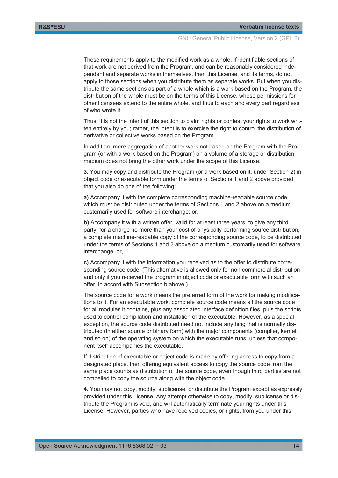These requirements apply to the modified work as a whole. If identifiable sections of that work are not derived from the Program, and can be reasonably considered independent and separate works in themselves, then this License, and its terms, do not apply to those sections when you distribute them as separate works. But when you distribute the same sections as part of a whole which is a work based on the Program, the distribution of the whole must be on the terms of this License, whose permissions for other licensees extend to the entire whole, and thus to each and every part regardless of who wrote it.

Thus, it is not the intent of this section to claim rights or contest your rights to work written entirely by you; rather, the intent is to exercise the right to control the distribution of derivative or collective works based on the Program.

In addition, mere aggregation of another work not based on the Program with the Program (or with a work based on the Program) on a volume of a storage or distribution medium does not bring the other work under the scope of this License.

**3.** You may copy and distribute the Program (or a work based on it, under Section 2) in object code or executable form under the terms of Sections 1 and 2 above provided that you also do one of the following:

**a)** Accompany it with the complete corresponding machine-readable source code, which must be distributed under the terms of Sections 1 and 2 above on a medium customarily used for software interchange; or,

**b)** Accompany it with a written offer, valid for at least three years, to give any third party, for a charge no more than your cost of physically performing source distribution, a complete machine-readable copy of the corresponding source code, to be distributed under the terms of Sections 1 and 2 above on a medium customarily used for software interchange; or,

**c)** Accompany it with the information you received as to the offer to distribute corresponding source code. (This alternative is allowed only for non commercial distribution and only if you received the program in object code or executable form with such an offer, in accord with Subsection b above.)

The source code for a work means the preferred form of the work for making modifications to it. For an executable work, complete source code means all the source code for all modules it contains, plus any associated interface definition files, plus the scripts used to control compilation and installation of the executable. However, as a special exception, the source code distributed need not include anything that is normally distributed (in either source or binary form) with the major components (compiler, kernel, and so on) of the operating system on which the executable runs, unless that component itself accompanies the executable.

If distribution of executable or object code is made by offering access to copy from a designated place, then offering equivalent access to copy the source code from the same place counts as distribution of the source code, even though third parties are not compelled to copy the source along with the object code.

**4.** You may not copy, modify, sublicense, or distribute the Program except as expressly provided under this License. Any attempt otherwise to copy, modify, sublicense or distribute the Program is void, and will automatically terminate your rights under this License. However, parties who have received copies, or rights, from you under this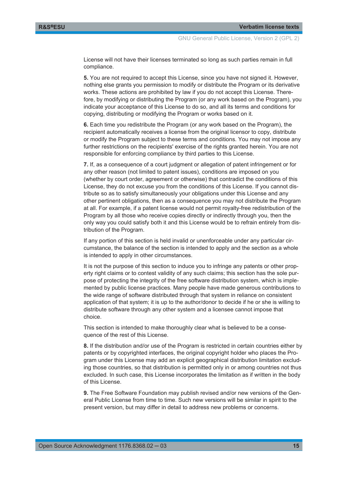License will not have their licenses terminated so long as such parties remain in full compliance.

**5.** You are not required to accept this License, since you have not signed it. However, nothing else grants you permission to modify or distribute the Program or its derivative works. These actions are prohibited by law if you do not accept this License. Therefore, by modifying or distributing the Program (or any work based on the Program), you indicate your acceptance of this License to do so, and all its terms and conditions for copying, distributing or modifying the Program or works based on it.

**6.** Each time you redistribute the Program (or any work based on the Program), the recipient automatically receives a license from the original licensor to copy, distribute or modify the Program subject to these terms and conditions. You may not impose any further restrictions on the recipients' exercise of the rights granted herein. You are not responsible for enforcing compliance by third parties to this License.

**7.** If, as a consequence of a court judgment or allegation of patent infringement or for any other reason (not limited to patent issues), conditions are imposed on you (whether by court order, agreement or otherwise) that contradict the conditions of this License, they do not excuse you from the conditions of this License. If you cannot distribute so as to satisfy simultaneously your obligations under this License and any other pertinent obligations, then as a consequence you may not distribute the Program at all. For example, if a patent license would not permit royalty-free redistribution of the Program by all those who receive copies directly or indirectly through you, then the only way you could satisfy both it and this License would be to refrain entirely from distribution of the Program.

If any portion of this section is held invalid or unenforceable under any particular circumstance, the balance of the section is intended to apply and the section as a whole is intended to apply in other circumstances.

It is not the purpose of this section to induce you to infringe any patents or other property right claims or to contest validity of any such claims; this section has the sole purpose of protecting the integrity of the free software distribution system, which is implemented by public license practices. Many people have made generous contributions to the wide range of software distributed through that system in reliance on consistent application of that system; it is up to the author/donor to decide if he or she is willing to distribute software through any other system and a licensee cannot impose that choice.

This section is intended to make thoroughly clear what is believed to be a consequence of the rest of this License.

**8.** If the distribution and/or use of the Program is restricted in certain countries either by patents or by copyrighted interfaces, the original copyright holder who places the Program under this License may add an explicit geographical distribution limitation excluding those countries, so that distribution is permitted only in or among countries not thus excluded. In such case, this License incorporates the limitation as if written in the body of this License.

**9.** The Free Software Foundation may publish revised and/or new versions of the General Public License from time to time. Such new versions will be similar in spirit to the present version, but may differ in detail to address new problems or concerns.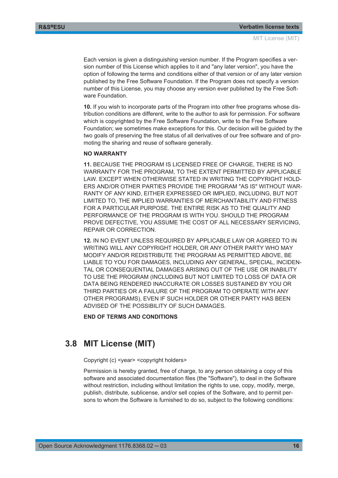<span id="page-15-0"></span>Each version is given a distinguishing version number. If the Program specifies a version number of this License which applies to it and "any later version", you have the option of following the terms and conditions either of that version or of any later version published by the Free Software Foundation. If the Program does not specify a version number of this License, you may choose any version ever published by the Free Software Foundation.

**10.** If you wish to incorporate parts of the Program into other free programs whose distribution conditions are different, write to the author to ask for permission. For software which is copyrighted by the Free Software Foundation, write to the Free Software Foundation; we sometimes make exceptions for this. Our decision will be guided by the two goals of preserving the free status of all derivatives of our free software and of promoting the sharing and reuse of software generally.

#### **NO WARRANTY**

**11.** BECAUSE THE PROGRAM IS LICENSED FREE OF CHARGE, THERE IS NO WARRANTY FOR THE PROGRAM, TO THE EXTENT PERMITTED BY APPLICABLE LAW. EXCEPT WHEN OTHERWISE STATED IN WRITING THE COPYRIGHT HOLD-ERS AND/OR OTHER PARTIES PROVIDE THE PROGRAM "AS IS" WITHOUT WAR-RANTY OF ANY KIND, EITHER EXPRESSED OR IMPLIED, INCLUDING, BUT NOT LIMITED TO, THE IMPLIED WARRANTIES OF MERCHANTABILITY AND FITNESS FOR A PARTICULAR PURPOSE. THE ENTIRE RISK AS TO THE QUALITY AND PERFORMANCE OF THE PROGRAM IS WITH YOU. SHOULD THE PROGRAM PROVE DEFECTIVE, YOU ASSUME THE COST OF ALL NECESSARY SERVICING, REPAIR OR CORRECTION.

**12.** IN NO EVENT UNLESS REQUIRED BY APPLICABLE LAW OR AGREED TO IN WRITING WILL ANY COPYRIGHT HOLDER, OR ANY OTHER PARTY WHO MAY MODIFY AND/OR REDISTRIBUTE THE PROGRAM AS PERMITTED ABOVE, BE LIABLE TO YOU FOR DAMAGES, INCLUDING ANY GENERAL, SPECIAL, INCIDEN-TAL OR CONSEQUENTIAL DAMAGES ARISING OUT OF THE USE OR INABILITY TO USE THE PROGRAM (INCLUDING BUT NOT LIMITED TO LOSS OF DATA OR DATA BEING RENDERED INACCURATE OR LOSSES SUSTAINED BY YOU OR THIRD PARTIES OR A FAILURE OF THE PROGRAM TO OPERATE WITH ANY OTHER PROGRAMS), EVEN IF SUCH HOLDER OR OTHER PARTY HAS BEEN ADVISED OF THE POSSIBILITY OF SUCH DAMAGES.

**END OF TERMS AND CONDITIONS**

## **3.8 MIT License (MIT)**

Copyright (c) <year> <copyright holders>

Permission is hereby granted, free of charge, to any person obtaining a copy of this software and associated documentation files (the "Software"), to deal in the Software without restriction, including without limitation the rights to use, copy, modify, merge, publish, distribute, sublicense, and/or sell copies of the Software, and to permit persons to whom the Software is furnished to do so, subject to the following conditions: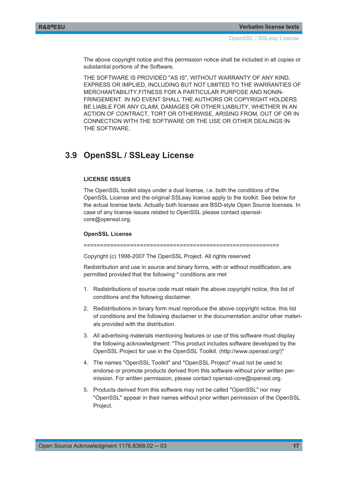<span id="page-16-0"></span>The above copyright notice and this permission notice shall be included in all copies or substantial portions of the Software.

THE SOFTWARE IS PROVIDED "AS IS", WITHOUT WARRANTY OF ANY KIND, EXPRESS OR IMPLIED, INCLUDING BUT NOT LIMITED TO THE WARRANTIES OF MERCHANTABILITY,FITNESS FOR A PARTICULAR PURPOSE AND NONIN-FRINGEMENT. IN NO EVENT SHALL THE AUTHORS OR COPYRIGHT HOLDERS BE LIABLE FOR ANY CLAIM, DAMAGES OR OTHER LIABILITY, WHETHER IN AN ACTION OF CONTRACT, TORT OR OTHERWISE, ARISING FROM, OUT OF OR IN CONNECTION WITH THE SOFTWARE OR THE USE OR OTHER DEALINGS IN THE SOFTWARE.

## **3.9 OpenSSL / SSLeay License**

#### **LICENSE ISSUES**

The OpenSSL toolkit stays under a dual license, i.e. both the conditions of the OpenSSL License and the original SSLeay license apply to the toolkit. See below for the actual license texts. Actually both licenses are BSD-style Open Source licenses. In case of any license issues related to OpenSSL please contact opensslcore@openssl.org.

#### **OpenSSL License**

===========================================================

Copyright (c) 1998-2007 The OpenSSL Project. All rights reserved

Redistribution and use in source and binary forms, with or without modification, are permitted provided that the following \* conditions are met

- 1. Redistributions of source code must retain the above copyright notice, this list of conditions and the following disclaimer.
- 2. Redistributions in binary form must reproduce the above copyright notice, this list of conditions and the following disclaimer in the documentation and/or other materials provided with the distribution.
- 3. All advertising materials mentioning features or use of this software must display the following acknowledgment: "This product includes software developed by the OpenSSL Project for use in the OpenSSL Toolkit. (http://www.openssl.org/)"
- 4. The names "OpenSSL Toolkit" and "OpenSSL Project" must not be used to endorse or promote products derived from this software without prior written permission. For written permission, please contact openssl-core@openssl.org.
- 5. Products derived from this software may not be called "OpenSSL" nor may "OpenSSL" appear in their names without prior written permission of the OpenSSL Project.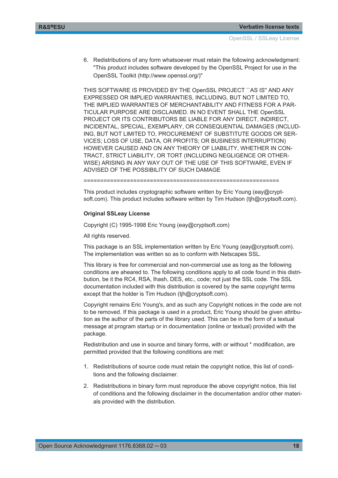6. Redistributions of any form whatsoever must retain the following acknowledgment: "This product includes software developed by the OpenSSL Project for use in the OpenSSL Toolkit (http://www.openssl.org/)"

THIS SOFTWARE IS PROVIDED BY THE OpenSSL PROJECT ``AS IS'' AND ANY EXPRESSED OR IMPLIED WARRANTIES, INCLUDING, BUT NOT LIMITED TO, THE IMPLIED WARRANTIES OF MERCHANTABILITY AND FITNESS FOR A PAR-TICULAR PURPOSE ARE DISCLAIMED. IN NO EVENT SHALL THE OpenSSL PROJECT OR ITS CONTRIBUTORS BE LIABLE FOR ANY DIRECT, INDIRECT, INCIDENTAL, SPECIAL, EXEMPLARY, OR CONSEQUENTIAL DAMAGES (INCLUD-ING, BUT NOT LIMITED TO, PROCUREMENT OF SUBSTITUTE GOODS OR SER-VICES; LOSS OF USE, DATA, OR PROFITS; OR BUSINESS INTERRUPTION) HOWEVER CAUSED AND ON ANY THEORY OF LIABILITY, WHETHER IN CON-TRACT, STRICT LIABILITY, OR TORT (INCLUDING NEGLIGENCE OR OTHER-WISE) ARISING IN ANY WAY OUT OF THE USE OF THIS SOFTWARE, EVEN IF ADVISED OF THE POSSIBILITY OF SUCH DAMAGE

===========================================================

This product includes cryptographic software written by Eric Young (eay@cryptsoft.com). This product includes software written by Tim Hudson (tjh@cryptsoft.com).

#### **Original SSLeay License**

Copyright (C) 1995-1998 Eric Young (eay@cryptsoft.com)

All rights reserved.

This package is an SSL implementation written by Eric Young (eay@cryptsoft.com). The implementation was written so as to conform with Netscapes SSL.

This library is free for commercial and non-commercial use as long as the following conditions are aheared to. The following conditions apply to all code found in this distribution, be it the RC4, RSA, lhash, DES, etc., code; not just the SSL code. The SSL documentation included with this distribution is covered by the same copyright terms except that the holder is Tim Hudson (tjh@cryptsoft.com).

Copyright remains Eric Young's, and as such any Copyright notices in the code are not to be removed. If this package is used in a product, Eric Young should be given attribution as the author of the parts of the library used. This can be in the form of a textual message at program startup or in documentation (online or textual) provided with the package.

Redistribution and use in source and binary forms, with or without \* modification, are permitted provided that the following conditions are met:

- 1. Redistributions of source code must retain the copyright notice, this list of conditions and the following disclaimer.
- 2. Redistributions in binary form must reproduce the above copyright notice, this list of conditions and the following disclaimer in the documentation and/or other materials provided with the distribution.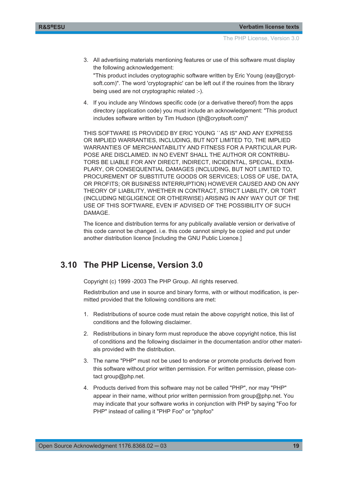- <span id="page-18-0"></span>3. All advertising materials mentioning features or use of this software must display the following acknowledgement: "This product includes cryptographic software written by Eric Young (eay@cryptsoft.com)". The word 'cryptographic' can be left out if the rouines from the library being used are not cryptographic related :-).
- 4. If you include any Windows specific code (or a derivative thereof) from the apps directory (application code) you must include an acknowledgement: "This product includes software written by Tim Hudson (tjh@cryptsoft.com)"

THIS SOFTWARE IS PROVIDED BY ERIC YOUNG ``AS IS'' AND ANY EXPRESS OR IMPLIED WARRANTIES, INCLUDING, BUT NOT LIMITED TO, THE IMPLIED WARRANTIES OF MERCHANTABILITY AND FITNESS FOR A PARTICULAR PUR-POSE ARE DISCLAIMED. IN NO EVENT SHALL THE AUTHOR OR CONTRIBU-TORS BE LIABLE FOR ANY DIRECT, INDIRECT, INCIDENTAL, SPECIAL, EXEM-PLARY, OR CONSEQUENTIAL DAMAGES (INCLUDING, BUT NOT LIMITED TO, PROCUREMENT OF SUBSTITUTE GOODS OR SERVICES; LOSS OF USE, DATA, OR PROFITS; OR BUSINESS INTERRUPTION) HOWEVER CAUSED AND ON ANY THEORY OF LIABILITY, WHETHER IN CONTRACT, STRICT LIABILITY, OR TORT (INCLUDING NEGLIGENCE OR OTHERWISE) ARISING IN ANY WAY OUT OF THE USE OF THIS SOFTWARE, EVEN IF ADVISED OF THE POSSIBILITY OF SUCH DAMAGE.

The licence and distribution terms for any publically available version or derivative of this code cannot be changed. i.e. this code cannot simply be copied and put under another distribution licence [including the GNU Public Licence.]

## **3.10 The PHP License, Version 3.0**

Copyright (c) 1999 -2003 The PHP Group. All rights reserved.

Redistribution and use in source and binary forms, with or without modification, is permitted provided that the following conditions are met:

- 1. Redistributions of source code must retain the above copyright notice, this list of conditions and the following disclaimer.
- 2. Redistributions in binary form must reproduce the above copyright notice, this list of conditions and the following disclaimer in the documentation and/or other materials provided with the distribution.
- 3. The name "PHP" must not be used to endorse or promote products derived from this software without prior written permission. For written permission, please contact group@php.net.
- 4. Products derived from this software may not be called "PHP", nor may "PHP" appear in their name, without prior written permission from group@php.net. You may indicate that your software works in conjunction with PHP by saying "Foo for PHP" instead of calling it "PHP Foo" or "phpfoo"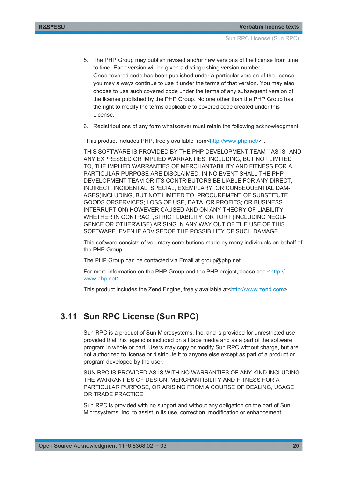- <span id="page-19-0"></span>5. The PHP Group may publish revised and/or new versions of the license from time to time. Each version will be given a distinguishing version number. Once covered code has been published under a particular version of the license, you may always continue to use it under the terms of that version. You may also choose to use such covered code under the terms of any subsequent version of the license published by the PHP Group. No one other than the PHP Group has the right to modify the terms applicable to covered code created under this License.
- 6. Redistributions of any form whatsoever must retain the following acknowledgment:

"This product includes PHP, freely available from<<http://www.php.net/>>".

THIS SOFTWARE IS PROVIDED BY THE PHP DEVELOPMENT TEAM ``AS IS'' AND ANY EXPRESSED OR IMPLIED WARRANTIES, INCLUDING, BUT NOT LIMITED TO, THE IMPLIED WARRANTIES OF MERCHANTABILITY AND FITNESS FOR A PARTICULAR PURPOSE ARE DISCLAIMED. IN NO EVENT SHALL THE PHP DEVELOPMENT TEAM OR ITS CONTRIBUTORS BE LIABLE FOR ANY DIRECT, INDIRECT, INCIDENTAL, SPECIAL, EXEMPLARY, OR CONSEQUENTIAL DAM-AGES(INCLUDING, BUT NOT LIMITED TO, PROCUREMENT OF SUBSTITUTE GOODS ORSERVICES; LOSS OF USE, DATA, OR PROFITS; OR BUSINESS INTERRUPTION) HOWEVER CAUSED AND ON ANY THEORY OF LIABILITY, WHETHER IN CONTRACT,STRICT LIABILITY, OR TORT (INCLUDING NEGLI-GENCE OR OTHERWISE) ARISING IN ANY WAY OUT OF THE USE OF THIS SOFTWARE, EVEN IF ADVISEDOF THE POSSIBILITY OF SUCH DAMAGE

This software consists of voluntary contributions made by many individuals on behalf of the PHP Group.

The PHP Group can be contacted via Email at group@php.net.

For more information on the PHP Group and the PHP project, please see <[http://](http://www.php.net) [www.php.net](http://www.php.net)>

This product includes the Zend Engine, freely available at [<http://www.zend.com](http://www.zend.com)>

## **3.11 Sun RPC License (Sun RPC)**

Sun RPC is a product of Sun Microsystems, Inc. and is provided for unrestricted use provided that this legend is included on all tape media and as a part of the software program in whole or part. Users may copy or modify Sun RPC without charge, but are not authorized to license or distribute it to anyone else except as part of a product or program developed by the user.

SUN RPC IS PROVIDED AS IS WITH NO WARRANTIES OF ANY KIND INCLUDING THE WARRANTIES OF DESIGN, MERCHANTIBILITY AND FITNESS FOR A PARTICULAR PURPOSE, OR ARISING FROM A COURSE OF DEALING, USAGE OR TRADE PRACTICE.

Sun RPC is provided with no support and without any obligation on the part of Sun Microsystems, Inc. to assist in its use, correction, modification or enhancement.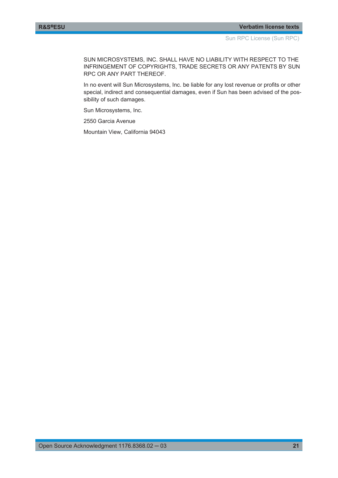SUN MICROSYSTEMS, INC. SHALL HAVE NO LIABILITY WITH RESPECT TO THE INFRINGEMENT OF COPYRIGHTS, TRADE SECRETS OR ANY PATENTS BY SUN RPC OR ANY PART THEREOF.

In no event will Sun Microsystems, Inc. be liable for any lost revenue or profits or other special, indirect and consequential damages, even if Sun has been advised of the possibility of such damages.

Sun Microsystems, Inc.

2550 Garcia Avenue

Mountain View, California 94043